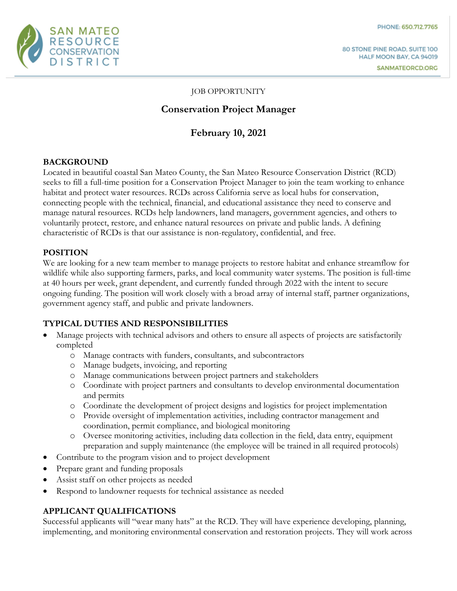

#### JOB OPPORTUNITY

### **Conservation Project Manager**

# **February 10, 2021**

### **BACKGROUND**

Located in beautiful coastal San Mateo County, the San Mateo Resource Conservation District (RCD) seeks to fill a full-time position for a Conservation Project Manager to join the team working to enhance habitat and protect water resources. RCDs across California serve as local hubs for conservation, connecting people with the technical, financial, and educational assistance they need to conserve and manage natural resources. RCDs help landowners, land managers, government agencies, and others to voluntarily protect, restore, and enhance natural resources on private and public lands. A defining characteristic of RCDs is that our assistance is non-regulatory, confidential, and free.

### **POSITION**

We are looking for a new team member to manage projects to restore habitat and enhance streamflow for wildlife while also supporting farmers, parks, and local community water systems. The position is full-time at 40 hours per week, grant dependent, and currently funded through 2022 with the intent to secure ongoing funding. The position will work closely with a broad array of internal staff, partner organizations, government agency staff, and public and private landowners.

#### **TYPICAL DUTIES AND RESPONSIBILITIES**

- Manage projects with technical advisors and others to ensure all aspects of projects are satisfactorily completed
	- o Manage contracts with funders, consultants, and subcontractors
	- o Manage budgets, invoicing, and reporting
	- o Manage communications between project partners and stakeholders
	- o Coordinate with project partners and consultants to develop environmental documentation and permits
	- o Coordinate the development of project designs and logistics for project implementation
	- o Provide oversight of implementation activities, including contractor management and coordination, permit compliance, and biological monitoring
	- o Oversee monitoring activities, including data collection in the field, data entry, equipment preparation and supply maintenance (the employee will be trained in all required protocols)
- Contribute to the program vision and to project development
- Prepare grant and funding proposals
- Assist staff on other projects as needed
- Respond to landowner requests for technical assistance as needed

### **APPLICANT QUALIFICATIONS**

Successful applicants will "wear many hats" at the RCD. They will have experience developing, planning, implementing, and monitoring environmental conservation and restoration projects. They will work across